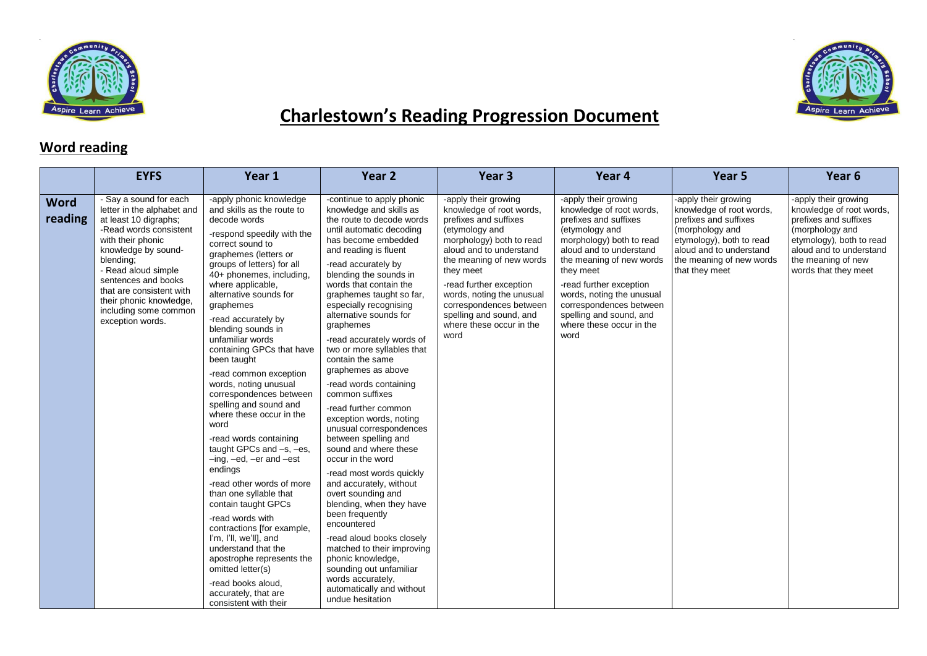



## **Charlestown's Reading Progression Document**

## **Word reading**

|                        | <b>EYFS</b>                                                                                                                                                                                                                                                                                                        | Year 1                                                                                                                                                                                                                                                                                                                                                                                                                                                                                                                                                                                                                                                                                                                                                                                                                                                                                                                                            | Year <sub>2</sub>                                                                                                                                                                                                                                                                                                                                                                                                                                                                                                                                                                                                                                                                                                                                                                                                                                                                                                                                                       | Year <sub>3</sub>                                                                                                                                                                                                                                                                                                                             | Year 4                                                                                                                                                                                                                                                                                                                                        | Year <sub>5</sub>                                                                                                                                                                                 | Year 6                                                                                                                                                                                            |
|------------------------|--------------------------------------------------------------------------------------------------------------------------------------------------------------------------------------------------------------------------------------------------------------------------------------------------------------------|---------------------------------------------------------------------------------------------------------------------------------------------------------------------------------------------------------------------------------------------------------------------------------------------------------------------------------------------------------------------------------------------------------------------------------------------------------------------------------------------------------------------------------------------------------------------------------------------------------------------------------------------------------------------------------------------------------------------------------------------------------------------------------------------------------------------------------------------------------------------------------------------------------------------------------------------------|-------------------------------------------------------------------------------------------------------------------------------------------------------------------------------------------------------------------------------------------------------------------------------------------------------------------------------------------------------------------------------------------------------------------------------------------------------------------------------------------------------------------------------------------------------------------------------------------------------------------------------------------------------------------------------------------------------------------------------------------------------------------------------------------------------------------------------------------------------------------------------------------------------------------------------------------------------------------------|-----------------------------------------------------------------------------------------------------------------------------------------------------------------------------------------------------------------------------------------------------------------------------------------------------------------------------------------------|-----------------------------------------------------------------------------------------------------------------------------------------------------------------------------------------------------------------------------------------------------------------------------------------------------------------------------------------------|---------------------------------------------------------------------------------------------------------------------------------------------------------------------------------------------------|---------------------------------------------------------------------------------------------------------------------------------------------------------------------------------------------------|
| <b>Word</b><br>reading | - Say a sound for each<br>letter in the alphabet and<br>at least 10 digraphs;<br>-Read words consistent<br>with their phonic<br>knowledge by sound-<br>blending;<br>- Read aloud simple<br>sentences and books<br>that are consistent with<br>their phonic knowledge,<br>including some common<br>exception words. | -apply phonic knowledge<br>and skills as the route to<br>decode words<br>-respond speedily with the<br>correct sound to<br>graphemes (letters or<br>groups of letters) for all<br>40+ phonemes, including,<br>where applicable,<br>alternative sounds for<br>graphemes<br>-read accurately by<br>blending sounds in<br>unfamiliar words<br>containing GPCs that have<br>been taught<br>-read common exception<br>words, noting unusual<br>correspondences between<br>spelling and sound and<br>where these occur in the<br>word<br>-read words containing<br>taught GPCs and -s, -es,<br>$-$ ing, $-$ ed, $-$ er and $-$ est<br>endings<br>-read other words of more<br>than one syllable that<br>contain taught GPCs<br>-read words with<br>contractions [for example,<br>I'm, I'll, we'll], and<br>understand that the<br>apostrophe represents the<br>omitted letter(s)<br>-read books aloud,<br>accurately, that are<br>consistent with their | -continue to apply phonic<br>knowledge and skills as<br>the route to decode words<br>until automatic decoding<br>has become embedded<br>and reading is fluent<br>-read accurately by<br>blending the sounds in<br>words that contain the<br>graphemes taught so far,<br>especially recognising<br>alternative sounds for<br>graphemes<br>-read accurately words of<br>two or more syllables that<br>contain the same<br>graphemes as above<br>-read words containing<br>common suffixes<br>-read further common<br>exception words, noting<br>unusual correspondences<br>between spelling and<br>sound and where these<br>occur in the word<br>-read most words quickly<br>and accurately, without<br>overt sounding and<br>blending, when they have<br>been frequently<br>encountered<br>-read aloud books closely<br>matched to their improving<br>phonic knowledge,<br>sounding out unfamiliar<br>words accurately.<br>automatically and without<br>undue hesitation | -apply their growing<br>knowledge of root words,<br>prefixes and suffixes<br>(etymology and<br>morphology) both to read<br>aloud and to understand<br>the meaning of new words<br>they meet<br>-read further exception<br>words, noting the unusual<br>correspondences between<br>spelling and sound, and<br>where these occur in the<br>word | -apply their growing<br>knowledge of root words,<br>prefixes and suffixes<br>(etymology and<br>morphology) both to read<br>aloud and to understand<br>the meaning of new words<br>they meet<br>-read further exception<br>words, noting the unusual<br>correspondences between<br>spelling and sound, and<br>where these occur in the<br>word | -apply their growing<br>knowledge of root words,<br>prefixes and suffixes<br>(morphology and<br>etymology), both to read<br>aloud and to understand<br>the meaning of new words<br>that they meet | -apply their growing<br>knowledge of root words,<br>prefixes and suffixes<br>(morphology and<br>etymology), both to read<br>aloud and to understand<br>the meaning of new<br>words that they meet |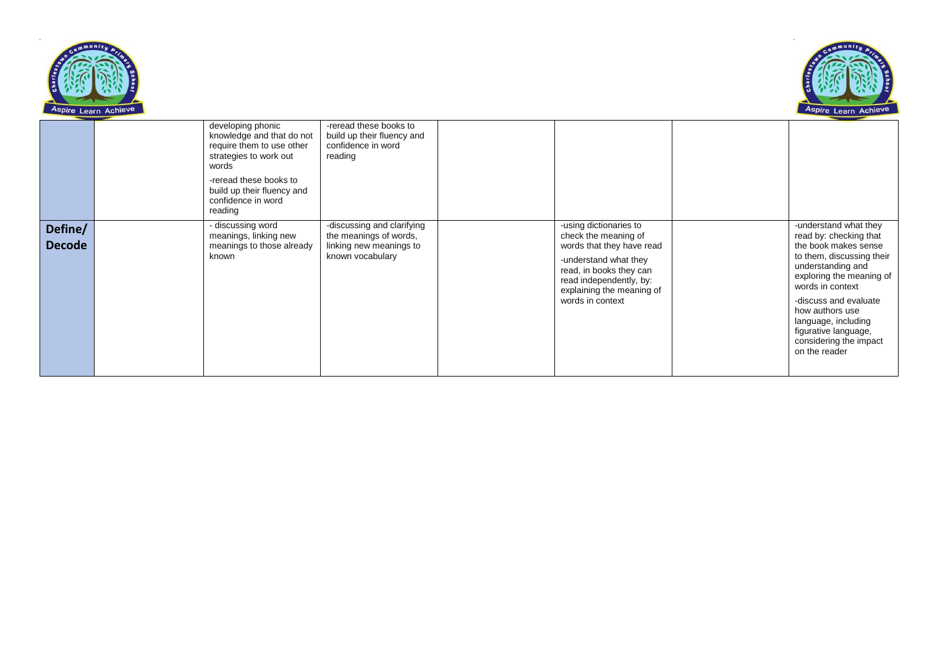



|                          | developing phonic<br>knowledge and that do not<br>require them to use other<br>strategies to work out<br>words<br>-reread these books to<br>build up their fluency and<br>confidence in word<br>reading | -reread these books to<br>build up their fluency and<br>confidence in word<br>reading               |                                                                                                                                                                                                             |                                                                                                                                                                                                                                                                                                                 |
|--------------------------|---------------------------------------------------------------------------------------------------------------------------------------------------------------------------------------------------------|-----------------------------------------------------------------------------------------------------|-------------------------------------------------------------------------------------------------------------------------------------------------------------------------------------------------------------|-----------------------------------------------------------------------------------------------------------------------------------------------------------------------------------------------------------------------------------------------------------------------------------------------------------------|
| Define/<br><b>Decode</b> | - discussing word<br>meanings, linking new<br>meanings to those already<br>known                                                                                                                        | -discussing and clarifying<br>the meanings of words,<br>linking new meanings to<br>known vocabulary | -using dictionaries to<br>check the meaning of<br>words that they have read<br>-understand what they<br>read, in books they can<br>read independently, by:<br>explaining the meaning of<br>words in context | -understand what they<br>read by: checking that<br>the book makes sense<br>to them, discussing their<br>understanding and<br>exploring the meaning of<br>words in context<br>-discuss and evaluate<br>how authors use<br>language, including<br>figurative language,<br>considering the impact<br>on the reader |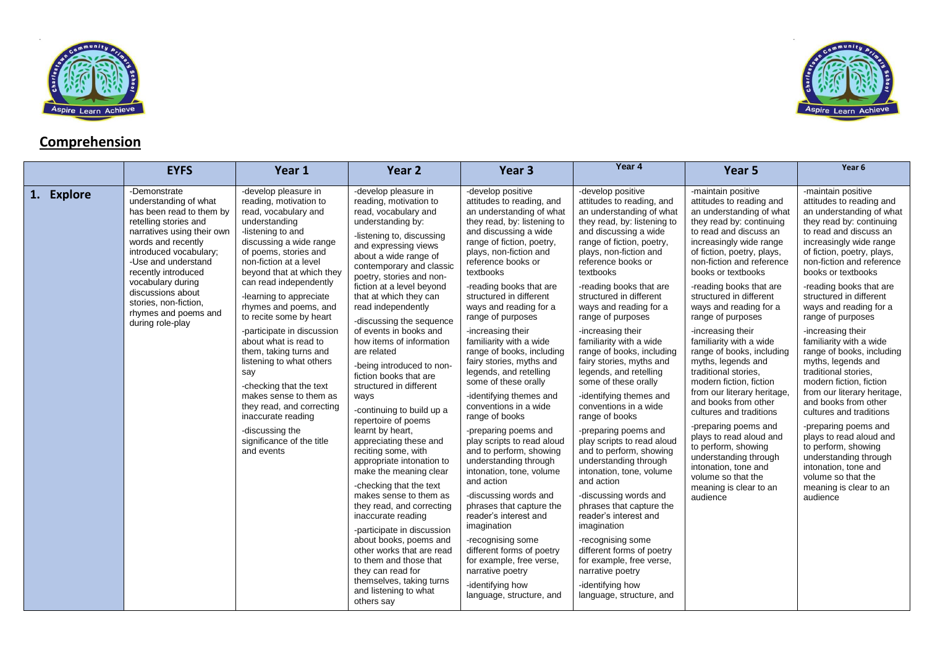





Aspire Learn Achieve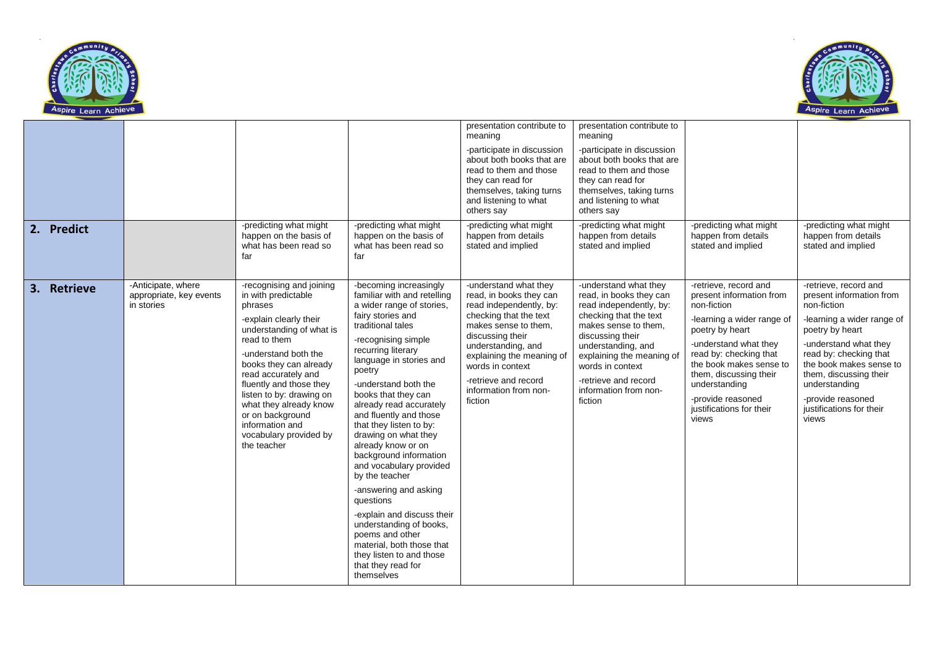



|             |                                                             |                                                                                                                                                                                                                                                                                                                                                                            |                                                                                                                                                                                                                                                                                                                                                                                                                                                                                                                                                                                                                                                                                   | presentation contribute to<br>meaning                                                                                                                                                                                                                                                | presentation contribute to<br>meaning                                                                                                                                                                                                                                                |                                                                                                                                                                                                                                                                                                      |                                                                                                                                                                                                                                                                                                      |
|-------------|-------------------------------------------------------------|----------------------------------------------------------------------------------------------------------------------------------------------------------------------------------------------------------------------------------------------------------------------------------------------------------------------------------------------------------------------------|-----------------------------------------------------------------------------------------------------------------------------------------------------------------------------------------------------------------------------------------------------------------------------------------------------------------------------------------------------------------------------------------------------------------------------------------------------------------------------------------------------------------------------------------------------------------------------------------------------------------------------------------------------------------------------------|--------------------------------------------------------------------------------------------------------------------------------------------------------------------------------------------------------------------------------------------------------------------------------------|--------------------------------------------------------------------------------------------------------------------------------------------------------------------------------------------------------------------------------------------------------------------------------------|------------------------------------------------------------------------------------------------------------------------------------------------------------------------------------------------------------------------------------------------------------------------------------------------------|------------------------------------------------------------------------------------------------------------------------------------------------------------------------------------------------------------------------------------------------------------------------------------------------------|
|             |                                                             |                                                                                                                                                                                                                                                                                                                                                                            |                                                                                                                                                                                                                                                                                                                                                                                                                                                                                                                                                                                                                                                                                   | -participate in discussion<br>about both books that are<br>read to them and those<br>they can read for<br>themselves, taking turns<br>and listening to what<br>others say                                                                                                            | -participate in discussion<br>about both books that are<br>read to them and those<br>they can read for<br>themselves, taking turns<br>and listening to what<br>others say                                                                                                            |                                                                                                                                                                                                                                                                                                      |                                                                                                                                                                                                                                                                                                      |
| 2. Predict  |                                                             | -predicting what might<br>happen on the basis of<br>what has been read so<br>far                                                                                                                                                                                                                                                                                           | -predicting what might<br>happen on the basis of<br>what has been read so<br>far                                                                                                                                                                                                                                                                                                                                                                                                                                                                                                                                                                                                  | -predicting what might<br>happen from details<br>stated and implied                                                                                                                                                                                                                  | -predicting what might<br>happen from details<br>stated and implied                                                                                                                                                                                                                  | -predicting what might<br>happen from details<br>stated and implied                                                                                                                                                                                                                                  | -predicting what might<br>happen from details<br>stated and implied                                                                                                                                                                                                                                  |
| 3. Retrieve | -Anticipate, where<br>appropriate, key events<br>in stories | -recognising and joining<br>in with predictable<br>phrases<br>-explain clearly their<br>understanding of what is<br>read to them<br>-understand both the<br>books they can already<br>read accurately and<br>fluently and those they<br>listen to by: drawing on<br>what they already know<br>or on background<br>information and<br>vocabulary provided by<br>the teacher | -becoming increasingly<br>familiar with and retelling<br>a wider range of stories,<br>fairy stories and<br>traditional tales<br>-recognising simple<br>recurring literary<br>language in stories and<br>poetry<br>-understand both the<br>books that they can<br>already read accurately<br>and fluently and those<br>that they listen to by:<br>drawing on what they<br>already know or on<br>background information<br>and vocabulary provided<br>by the teacher<br>-answering and asking<br>questions<br>-explain and discuss their<br>understanding of books,<br>poems and other<br>material, both those that<br>they listen to and those<br>that they read for<br>themselves | -understand what they<br>read, in books they can<br>read independently, by:<br>checking that the text<br>makes sense to them,<br>discussing their<br>understanding, and<br>explaining the meaning of<br>words in context<br>-retrieve and record<br>information from non-<br>fiction | -understand what they<br>read, in books they can<br>read independently, by:<br>checking that the text<br>makes sense to them,<br>discussing their<br>understanding, and<br>explaining the meaning of<br>words in context<br>-retrieve and record<br>information from non-<br>fiction | -retrieve, record and<br>present information from<br>non-fiction<br>-learning a wider range of<br>poetry by heart<br>-understand what they<br>read by: checking that<br>the book makes sense to<br>them, discussing their<br>understanding<br>-provide reasoned<br>justifications for their<br>views | -retrieve, record and<br>present information from<br>non-fiction<br>-learning a wider range of<br>poetry by heart<br>-understand what they<br>read by: checking that<br>the book makes sense to<br>them, discussing their<br>understanding<br>-provide reasoned<br>justifications for their<br>views |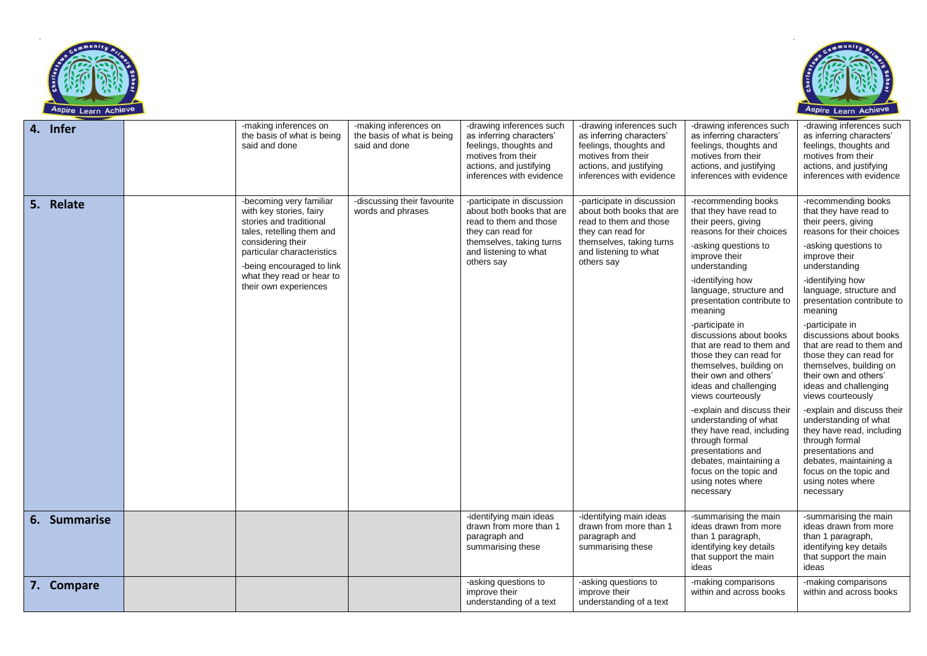



| 4. Infer     | -making inferences on<br>the basis of what is being<br>said and done                                                                                                                                                                             | -making inferences on<br>the basis of what is being<br>said and done | -drawing inferences such<br>as inferring characters'<br>feelings, thoughts and<br>motives from their<br>actions, and justifying<br>inferences with evidence               | -drawing inferences such<br>as inferring characters'<br>feelings, thoughts and<br>motives from their<br>actions, and justifying<br>inferences with evidence               | -drawing inferences such<br>as inferring characters'<br>feelings, thoughts and<br>motives from their<br>actions, and justifying<br>inferences with evidence                                                                                                                                                                                                                                                                                                                                                                                                                                                                                                     | -drawing inferences such<br>as inferring characters'<br>feelings, thoughts and<br>motives from their<br>actions, and justifying<br>inferences with evidence                                                                                                                                                                                                                                                                                                                                                                                                                                                                                                     |
|--------------|--------------------------------------------------------------------------------------------------------------------------------------------------------------------------------------------------------------------------------------------------|----------------------------------------------------------------------|---------------------------------------------------------------------------------------------------------------------------------------------------------------------------|---------------------------------------------------------------------------------------------------------------------------------------------------------------------------|-----------------------------------------------------------------------------------------------------------------------------------------------------------------------------------------------------------------------------------------------------------------------------------------------------------------------------------------------------------------------------------------------------------------------------------------------------------------------------------------------------------------------------------------------------------------------------------------------------------------------------------------------------------------|-----------------------------------------------------------------------------------------------------------------------------------------------------------------------------------------------------------------------------------------------------------------------------------------------------------------------------------------------------------------------------------------------------------------------------------------------------------------------------------------------------------------------------------------------------------------------------------------------------------------------------------------------------------------|
| 5. Relate    | -becoming very familiar<br>with key stories, fairy<br>stories and traditional<br>tales, retelling them and<br>considering their<br>particular characteristics<br>-being encouraged to link<br>what they read or hear to<br>their own experiences | -discussing their favourite<br>words and phrases                     | -participate in discussion<br>about both books that are<br>read to them and those<br>they can read for<br>themselves, taking turns<br>and listening to what<br>others say | -participate in discussion<br>about both books that are<br>read to them and those<br>they can read for<br>themselves, taking turns<br>and listening to what<br>others say | -recommending books<br>that they have read to<br>their peers, giving<br>reasons for their choices<br>-asking questions to<br>improve their<br>understanding<br>-identifying how<br>language, structure and<br>presentation contribute to<br>meaning<br>-participate in<br>discussions about books<br>that are read to them and<br>those they can read for<br>themselves, building on<br>their own and others'<br>ideas and challenging<br>views courteously<br>-explain and discuss their<br>understanding of what<br>they have read, including<br>through formal<br>presentations and<br>debates, maintaining a<br>focus on the topic and<br>using notes where | -recommending books<br>that they have read to<br>their peers, giving<br>reasons for their choices<br>-asking questions to<br>improve their<br>understanding<br>-identifying how<br>language, structure and<br>presentation contribute to<br>meaning<br>-participate in<br>discussions about books<br>that are read to them and<br>those they can read for<br>themselves, building on<br>their own and others'<br>ideas and challenging<br>views courteously<br>-explain and discuss their<br>understanding of what<br>they have read, including<br>through formal<br>presentations and<br>debates, maintaining a<br>focus on the topic and<br>using notes where |
|              |                                                                                                                                                                                                                                                  |                                                                      |                                                                                                                                                                           |                                                                                                                                                                           | necessary                                                                                                                                                                                                                                                                                                                                                                                                                                                                                                                                                                                                                                                       | necessary                                                                                                                                                                                                                                                                                                                                                                                                                                                                                                                                                                                                                                                       |
| 6. Summarise |                                                                                                                                                                                                                                                  |                                                                      | -identifying main ideas<br>drawn from more than 1<br>paragraph and<br>summarising these                                                                                   | -identifying main ideas<br>drawn from more than 1<br>paragraph and<br>summarising these                                                                                   | -summarising the main<br>ideas drawn from more<br>than 1 paragraph,<br>identifying key details<br>that support the main<br>ideas                                                                                                                                                                                                                                                                                                                                                                                                                                                                                                                                | -summarising the main<br>ideas drawn from more<br>than 1 paragraph,<br>identifying key details<br>that support the main<br>ideas                                                                                                                                                                                                                                                                                                                                                                                                                                                                                                                                |
| 7. Compare   |                                                                                                                                                                                                                                                  |                                                                      | -asking questions to<br>improve their<br>understanding of a text                                                                                                          | -asking questions to<br>improve their<br>understanding of a text                                                                                                          | -making comparisons<br>within and across books                                                                                                                                                                                                                                                                                                                                                                                                                                                                                                                                                                                                                  | -making comparisons<br>within and across books                                                                                                                                                                                                                                                                                                                                                                                                                                                                                                                                                                                                                  |